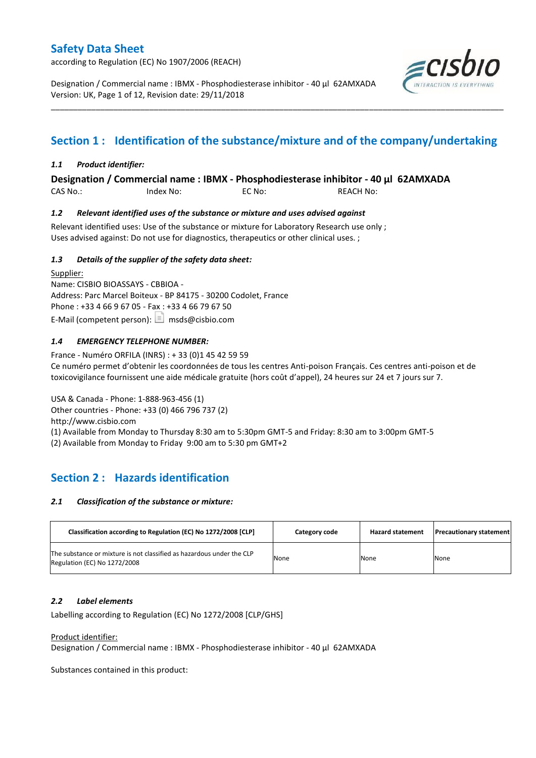according to Regulation (EC) No 1907/2006 (REACH)

Designation / Commercial name : IBMX - Phosphodiesterase inhibitor - 40 µl 62AMXADA Version: UK, Page 1 of 12, Revision date: 29/11/2018



# **Section 1 : Identification of the substance/mixture and of the company/undertaking**

\_\_\_\_\_\_\_\_\_\_\_\_\_\_\_\_\_\_\_\_\_\_\_\_\_\_\_\_\_\_\_\_\_\_\_\_\_\_\_\_\_\_\_\_\_\_\_\_\_\_\_\_\_\_\_\_\_\_\_\_\_\_\_\_\_\_\_\_\_\_\_\_\_\_\_\_\_\_\_\_\_\_\_\_\_\_\_\_\_\_\_\_\_\_\_\_\_\_\_\_\_

### *1.1 Product identifier:*

**Designation / Commercial name : IBMX - Phosphodiesterase inhibitor - 40 µl 62AMXADA** 

CAS No.: Index No: EC No: REACH No:

### *1.2 Relevant identified uses of the substance or mixture and uses advised against*

Relevant identified uses: Use of the substance or mixture for Laboratory Research use only ; Uses advised against: Do not use for diagnostics, therapeutics or other clinical uses. ;

### *1.3 Details of the supplier of the safety data sheet:*

Supplier: Name: CISBIO BIOASSAYS - CBBIOA - Address: Parc Marcel Boiteux - BP 84175 - 30200 Codolet, France Phone : +33 4 66 9 67 05 - Fax : +33 4 66 79 67 50 E-Mail (competent person):  $\boxed{\equiv}$  msds@cisbio.com

### *1.4 EMERGENCY TELEPHONE NUMBER:*

France - Numéro ORFILA (INRS) : + 33 (0)1 45 42 59 59 Ce numéro permet d'obtenir les coordonnées de tous les centres Anti-poison Français. Ces centres anti-poison et de toxicovigilance fournissent une aide médicale gratuite (hors coût d'appel), 24 heures sur 24 et 7 jours sur 7.

USA & Canada - Phone: 1-888-963-456 (1) Other countries - Phone: +33 (0) 466 796 737 (2) http://www.cisbio.com (1) Available from Monday to Thursday 8:30 am to 5:30pm GMT-5 and Friday: 8:30 am to 3:00pm GMT-5 (2) Available from Monday to Friday 9:00 am to 5:30 pm GMT+2

## **Section 2 : Hazards identification**

#### *2.1 Classification of the substance or mixture:*

| Classification according to Regulation (EC) No 1272/2008 [CLP]                                        | Category code | <b>Hazard statement</b> | <b>Precautionary statement</b> |
|-------------------------------------------------------------------------------------------------------|---------------|-------------------------|--------------------------------|
| The substance or mixture is not classified as hazardous under the CLP<br>Regulation (EC) No 1272/2008 | None          | None                    | None                           |

#### *2.2 Label elements*

Labelling according to Regulation (EC) No 1272/2008 [CLP/GHS]

#### Product identifier:

Designation / Commercial name : IBMX - Phosphodiesterase inhibitor - 40 µl 62AMXADA

Substances contained in this product: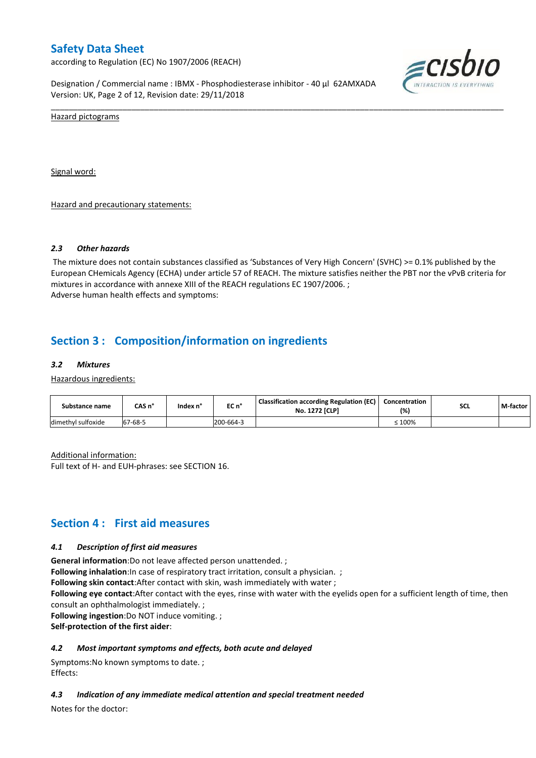according to Regulation (EC) No 1907/2006 (REACH)

Designation / Commercial name : IBMX - Phosphodiesterase inhibitor - 40 µl 62AMXADA Version: UK, Page 2 of 12, Revision date: 29/11/2018



Hazard pictograms

Signal word:

Hazard and precautionary statements:

#### *2.3 Other hazards*

The mixture does not contain substances classified as 'Substances of Very High Concern' (SVHC) >= 0.1% published by the European CHemicals Agency (ECHA) under article 57 of REACH. The mixture satisfies neither the PBT nor the vPvB criteria for mixtures in accordance with annexe XIII of the REACH regulations EC 1907/2006. ; Adverse human health effects and symptoms:

\_\_\_\_\_\_\_\_\_\_\_\_\_\_\_\_\_\_\_\_\_\_\_\_\_\_\_\_\_\_\_\_\_\_\_\_\_\_\_\_\_\_\_\_\_\_\_\_\_\_\_\_\_\_\_\_\_\_\_\_\_\_\_\_\_\_\_\_\_\_\_\_\_\_\_\_\_\_\_\_\_\_\_\_\_\_\_\_\_\_\_\_\_\_\_\_\_\_\_\_\_

## **Section 3 : Composition/information on ingredients**

#### *3.2 Mixtures*

Hazardous ingredients:

| Substance name     | CAS n°  | Index n° | EC n°     | <b>Classification according Regulation (EC)</b><br><b>No. 1272 [CLP]</b> | Concentration<br>(%) | <b>SCL</b> | M-factor |
|--------------------|---------|----------|-----------|--------------------------------------------------------------------------|----------------------|------------|----------|
| dimethyl sulfoxide | 67-68-5 |          | 200-664-3 |                                                                          | 100%                 |            |          |

Additional information:

Full text of H- and EUH-phrases: see SECTION 16.

## **Section 4 : First aid measures**

#### *4.1 Description of first aid measures*

**General information**:Do not leave affected person unattended. ;

**Following inhalation**: In case of respiratory tract irritation, consult a physician. ;

**Following skin contact**:After contact with skin, wash immediately with water ;

**Following eye contact**:After contact with the eyes, rinse with water with the eyelids open for a sufficient length of time, then consult an ophthalmologist immediately. ;

**Following ingestion**:Do NOT induce vomiting. ;

**Self-protection of the first aider**:

#### *4.2 Most important symptoms and effects, both acute and delayed*

Symptoms:No known symptoms to date. ; Effects:

#### *4.3 Indication of any immediate medical attention and special treatment needed*

Notes for the doctor: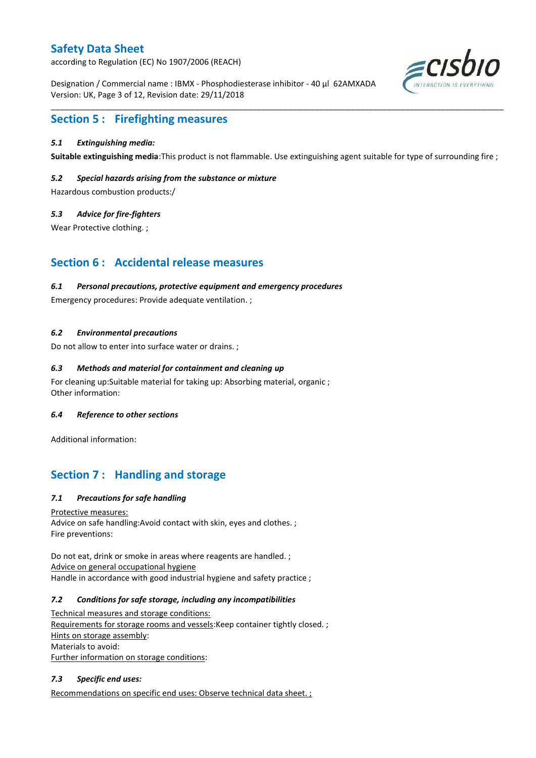according to Regulation (EC) No 1907/2006 (REACH)

Designation / Commercial name : IBMX - Phosphodiesterase inhibitor - 40 µl 62AMXADA Version: UK, Page 3 of 12, Revision date: 29/11/2018



## **Section 5 : Firefighting measures**

### *5.1 Extinguishing media:*

**Suitable extinguishing media**:This product is not flammable. Use extinguishing agent suitable for type of surrounding fire ;

\_\_\_\_\_\_\_\_\_\_\_\_\_\_\_\_\_\_\_\_\_\_\_\_\_\_\_\_\_\_\_\_\_\_\_\_\_\_\_\_\_\_\_\_\_\_\_\_\_\_\_\_\_\_\_\_\_\_\_\_\_\_\_\_\_\_\_\_\_\_\_\_\_\_\_\_\_\_\_\_\_\_\_\_\_\_\_\_\_\_\_\_\_\_\_\_\_\_\_\_\_

### *5.2 Special hazards arising from the substance or mixture*

Hazardous combustion products:/

### *5.3 Advice for fire-fighters*

Wear Protective clothing. ;

## **Section 6 : Accidental release measures**

#### *6.1 Personal precautions, protective equipment and emergency procedures*

Emergency procedures: Provide adequate ventilation. ;

### *6.2 Environmental precautions*

Do not allow to enter into surface water or drains. ;

### *6.3 Methods and material for containment and cleaning up*

For cleaning up:Suitable material for taking up: Absorbing material, organic ; Other information:

#### *6.4 Reference to other sections*

Additional information:

## **Section 7 : Handling and storage**

### *7.1 Precautions for safe handling*

Protective measures: Advice on safe handling:Avoid contact with skin, eyes and clothes. ; Fire preventions:

Do not eat, drink or smoke in areas where reagents are handled. ; Advice on general occupational hygiene Handle in accordance with good industrial hygiene and safety practice ;

#### *7.2 Conditions for safe storage, including any incompatibilities*

Technical measures and storage conditions: Requirements for storage rooms and vessels: Keep container tightly closed. ; Hints on storage assembly: Materials to avoid: Further information on storage conditions:

### *7.3 Specific end uses:*

Recommendations on specific end uses: Observe technical data sheet. ;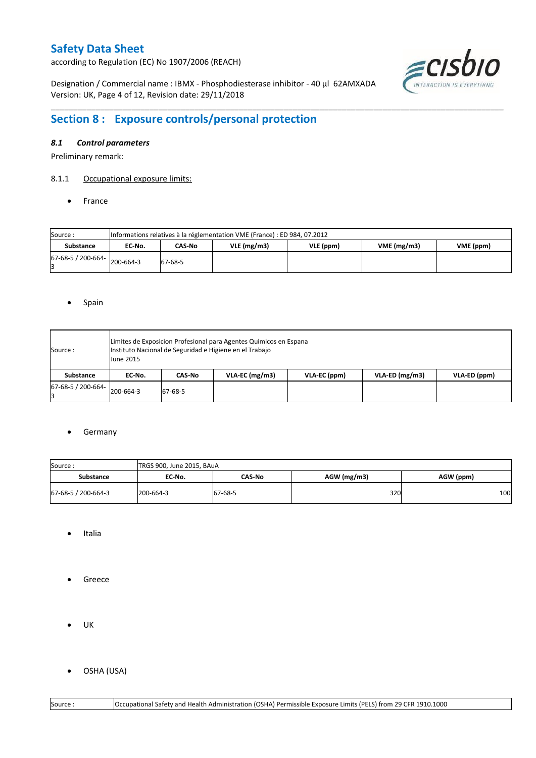according to Regulation (EC) No 1907/2006 (REACH)

Designation / Commercial name : IBMX - Phosphodiesterase inhibitor - 40 µl 62AMXADA Version: UK, Page 4 of 12, Revision date: 29/11/2018



# **Section 8 : Exposure controls/personal protection**

### *8.1 Control parameters*

Preliminary remark:

### 8.1.1 Occupational exposure limits:

• France

| Source:            |           | Informations relatives à la réglementation VME (France) : ED 984, 07.2012 |  |  |  |  |  |  |  |  |  |  |  |
|--------------------|-----------|---------------------------------------------------------------------------|--|--|--|--|--|--|--|--|--|--|--|
| <b>Substance</b>   | EC No.    | VME(mg/m3)<br>$VLE$ (mg/m3)<br>VLE (ppm)<br>CAS-No<br>VME (ppm)           |  |  |  |  |  |  |  |  |  |  |  |
| 67-68-5 / 200-664- | 200-664-3 | 67-68-5                                                                   |  |  |  |  |  |  |  |  |  |  |  |

\_\_\_\_\_\_\_\_\_\_\_\_\_\_\_\_\_\_\_\_\_\_\_\_\_\_\_\_\_\_\_\_\_\_\_\_\_\_\_\_\_\_\_\_\_\_\_\_\_\_\_\_\_\_\_\_\_\_\_\_\_\_\_\_\_\_\_\_\_\_\_\_\_\_\_\_\_\_\_\_\_\_\_\_\_\_\_\_\_\_\_\_\_\_\_\_\_\_\_\_\_

#### • Spain

| Source :           | <b>June 2015</b> |         | Limites de Exposicion Profesional para Agentes Quimicos en Espana<br>Instituto Nacional de Seguridad e Higiene en el Trabajo |              |                  |              |
|--------------------|------------------|---------|------------------------------------------------------------------------------------------------------------------------------|--------------|------------------|--------------|
| Substance          | EC No.           | CAS No  | $VLA-EC$ (mg/m3)                                                                                                             | VLA-EC (ppm) | $VLA-ED$ (mg/m3) | VLA-ED (ppm) |
| 67-68-5 / 200-664- | 200-664-3        | 67-68-5 |                                                                                                                              |              |                  |              |

#### **•** Germany

| Source:             | TRGS 900, June 2015, BAuA |         |               |           |
|---------------------|---------------------------|---------|---------------|-----------|
| <b>Substance</b>    | EC No.                    | CAS-No  | $AGW$ (mg/m3) | AGW (ppm) |
| 67-68-5 / 200-664-3 | 200-664-3                 | 67-68-5 | 320           | 100       |

- Italia
- **•** Greece
- $\bullet$  UK
- OSHA (USA)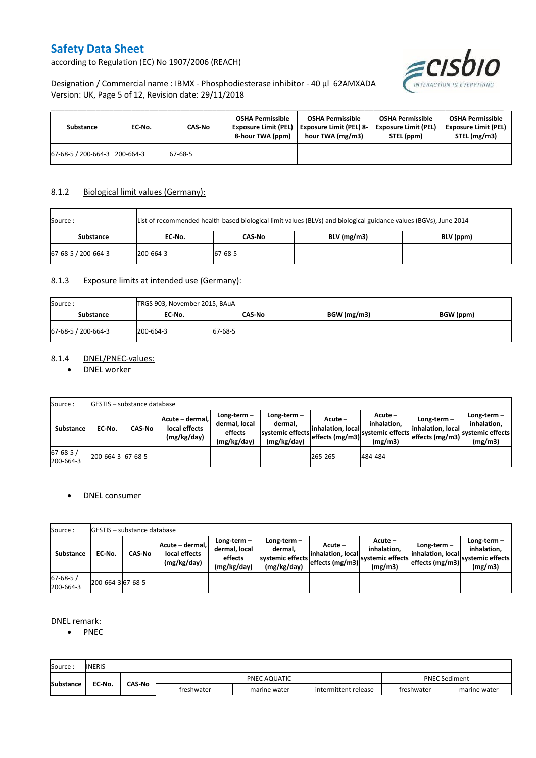according to Regulation (EC) No 1907/2006 (REACH)



Designation / Commercial name : IBMX - Phosphodiesterase inhibitor - 40 µl 62AMXADA Version: UK, Page 5 of 12, Revision date: 29/11/2018

| Substance                     | EC-No. | CAS-No  | <b>OSHA Permissible</b><br><b>Exposure Limit (PEL)</b><br>8-hour TWA (ppm) | <b>OSHA Permissible</b><br><b>Exposure Limit (PEL) 8-</b><br>hour TWA (mg/m3) | <b>OSHA Permissible</b><br><b>Exposure Limit (PEL)</b><br>STEL (ppm) | <b>OSHA Permissible</b><br><b>Exposure Limit (PEL)</b><br>STEL (mg/m3) |
|-------------------------------|--------|---------|----------------------------------------------------------------------------|-------------------------------------------------------------------------------|----------------------------------------------------------------------|------------------------------------------------------------------------|
| 67-68-5 / 200-664-3 200-664-3 |        | 67-68-5 |                                                                            |                                                                               |                                                                      |                                                                        |

## 8.1.2 Biological limit values (Germany):

| Source :            | List of recommended health-based biological limit values (BLVs) and biological guidance values (BGVs), June 2014 |         |               |           |  |  |  |  |  |  |
|---------------------|------------------------------------------------------------------------------------------------------------------|---------|---------------|-----------|--|--|--|--|--|--|
| Substance           | EC No.                                                                                                           | CAS-No  | $BLV$ (mg/m3) | BLV (ppm) |  |  |  |  |  |  |
| 67-68-5 / 200-664-3 | 200-664-3                                                                                                        | 67-68-5 |               |           |  |  |  |  |  |  |

### 8.1.3 Exposure limits at intended use (Germany):

| Source:             | TRGS 903, November 2015, BAuA |         |             |           |  |  |  |  |  |
|---------------------|-------------------------------|---------|-------------|-----------|--|--|--|--|--|
| Substance           | EC-No.                        | CAS-No  | BGW (mg/m3) | BGW (ppm) |  |  |  |  |  |
| 67-68-5 / 200-664-3 | 200-664-3                     | 67-68-5 |             |           |  |  |  |  |  |

### 8.1.4 DNEL/PNEC-values:

• DNEL worker

| Source:                     |                   | <b>IGESTIS – substance database</b> |                                                                                                          |  |                                                           |                                                   |                                                         |                                                       |                                                             |
|-----------------------------|-------------------|-------------------------------------|----------------------------------------------------------------------------------------------------------|--|-----------------------------------------------------------|---------------------------------------------------|---------------------------------------------------------|-------------------------------------------------------|-------------------------------------------------------------|
| Substance                   | EC-No.            | <b>CAS-No</b>                       | Long-term-<br>Acute - dermal,<br>dermal, local<br>local effects<br>effects<br>(mg/kg/day)<br>(mg/kg/day) |  | Long-term –<br>dermal.<br>systemic effects<br>(mg/kg/day) | Acute –<br>linhalation. locall<br>effects (mg/m3) | $Acute -$<br>inhalation.<br>systemic effects<br>(mg/m3) | Long-term $-$<br>inhalation, local<br>effects (mg/m3) | $Long-term -$<br>inhalation.<br>systemic effects<br>(mg/m3) |
| $67 - 68 - 5/$<br>200-664-3 | 200-664-3 67-68-5 |                                     |                                                                                                          |  |                                                           | 265-265                                           | 484-484                                                 |                                                       |                                                             |

#### DNEL consumer

| Source:                    |                   | <b>IGESTIS – substance database</b>                                |  |                                                                                                                      |  |                                                  |                                                       |                                                     |                                                          |
|----------------------------|-------------------|--------------------------------------------------------------------|--|----------------------------------------------------------------------------------------------------------------------|--|--------------------------------------------------|-------------------------------------------------------|-----------------------------------------------------|----------------------------------------------------------|
| <b>Substance</b>           | EC No.            | Acute – dermal. I<br>local effects<br><b>CAS-No</b><br>(mg/kg/day) |  | Long-term-<br>Long-term $-$<br>dermal, local<br>dermal.<br>systemic effects<br>effects<br>(mg/kg/day)<br>(mg/kg/day) |  | Acute –<br>linhalation. local<br>effects (mg/m3) | Acute -<br>inhalation.<br>systemic effects<br>(mg/m3) | Long-term-<br>linhalation. local<br>effects (mg/m3) | Long-term-<br>inhalation.<br>systemic effects<br>(mg/m3) |
| $67 - 68 - 5$<br>200-664-3 | 200-664-3 67-68-5 |                                                                    |  |                                                                                                                      |  |                                                  |                                                       |                                                     |                                                          |

### DNEL remark:

• PNEC

| Source           | <b>INERIS</b> |               |            |              |                      |            |              |
|------------------|---------------|---------------|------------|--------------|----------------------|------------|--------------|
| <b>Substance</b> | EC-No.        | <b>CAS-No</b> |            | PNEC AQUATIC | <b>PNEC Sediment</b> |            |              |
|                  |               |               | freshwater | marine water | intermittent release | freshwater | marine water |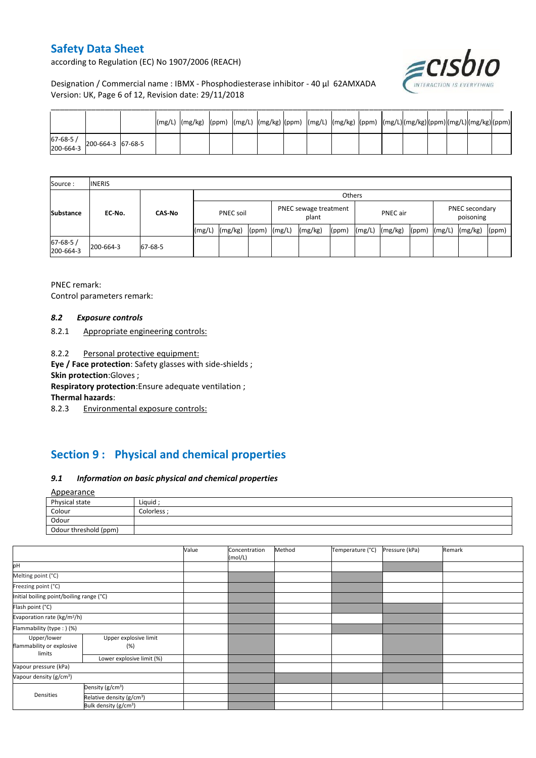according to Regulation (EC) No 1907/2006 (REACH)



## Designation / Commercial name : IBMX - Phosphodiesterase inhibitor - 40 µl 62AMXADA Version: UK, Page 6 of 12, Revision date: 29/11/2018

| $\begin{array}{ c c c c c }\n 67-68-5 & 200-664-3 & 67-68-5 \\ 200-664-3 & 67-68-5 & 68-5 & 68-5 & 68-5 & 68-5 & 68-5 & 68-5 & 68-5 & 68-5 & 68-5 & 68-5 & 68-5 & 68-5 & 68-5 & 68-5 & 68-5 & 68-5 & 68-5 & 68-5 & 68-5 & 68-5 & 68-5 & 68-5 & 68-5 & 68-5 & 68-5 & 68$ |  |  |  |  |  |  |  |  |
|-------------------------------------------------------------------------------------------------------------------------------------------------------------------------------------------------------------------------------------------------------------------------|--|--|--|--|--|--|--|--|

| Source:                     | <b>INERIS</b> |               |                  |         |                                |        |          |       |                             |         |       |        |         |       |
|-----------------------------|---------------|---------------|------------------|---------|--------------------------------|--------|----------|-------|-----------------------------|---------|-------|--------|---------|-------|
|                             | EC-No.        | <b>CAS-No</b> | Others           |         |                                |        |          |       |                             |         |       |        |         |       |
| <b>Substance</b>            |               |               | <b>PNEC soil</b> |         | PNEC sewage treatment<br>plant |        | PNEC air |       | PNEC secondary<br>poisoning |         |       |        |         |       |
|                             |               |               | (mg/L)           | (mg/kg) | (ppm)                          | (mg/L) | (mg/kg)  | (ppm) | (mg/L)                      | (mg/kg) | (ppm) | (mg/L) | (mg/kg) | (ppm) |
| $67 - 68 - 5/$<br>200-664-3 | 200-664-3     | 67-68-5       |                  |         |                                |        |          |       |                             |         |       |        |         |       |

PNEC remark: Control parameters remark:

#### *8.2 Exposure controls*

8.2.1 Appropriate engineering controls:

8.2.2 Personal protective equipment:

**Eye / Face protection**: Safety glasses with side-shields ;

**Skin protection**:Gloves ;

**Respiratory protection**:Ensure adequate ventilation ;

**Thermal hazards**:

8.2.3 Environmental exposure controls:

# **Section 9 : Physical and chemical properties**

### *9.1 Information on basic physical and chemical properties*

**A**nnearance

| <b>Appearance</b>     |            |  |  |  |  |  |
|-----------------------|------------|--|--|--|--|--|
| Physical state        | Liquid ;   |  |  |  |  |  |
| Colour                | Colorless: |  |  |  |  |  |
| Odour                 |            |  |  |  |  |  |
| Odour threshold (ppm) |            |  |  |  |  |  |

|                                          |                                       | Value | Concentration<br>(mol/L) | Method | Temperature (°C) | Pressure (kPa) | Remark |
|------------------------------------------|---------------------------------------|-------|--------------------------|--------|------------------|----------------|--------|
| pH                                       |                                       |       |                          |        |                  |                |        |
| Melting point (°C)                       |                                       |       |                          |        |                  |                |        |
| Freezing point (°C)                      |                                       |       |                          |        |                  |                |        |
| Initial boiling point/boiling range (°C) |                                       |       |                          |        |                  |                |        |
| Flash point (°C)                         |                                       |       |                          |        |                  |                |        |
| Evaporation rate (kg/m <sup>2</sup> /h)  |                                       |       |                          |        |                  |                |        |
| Flammability (type:) (%)                 |                                       |       |                          |        |                  |                |        |
| Upper/lower<br>flammability or explosive | Upper explosive limit<br>(%)          |       |                          |        |                  |                |        |
| limits                                   | Lower explosive limit (%)             |       |                          |        |                  |                |        |
| Vapour pressure (kPa)                    |                                       |       |                          |        |                  |                |        |
| Vapour density (g/cm <sup>3</sup> )      |                                       |       |                          |        |                  |                |        |
| Densities                                | Density (g/cm <sup>3</sup> )          |       |                          |        |                  |                |        |
|                                          | Relative density (g/cm <sup>3</sup> ) |       |                          |        |                  |                |        |
|                                          | Bulk density (g/cm <sup>3</sup> )     |       |                          |        |                  |                |        |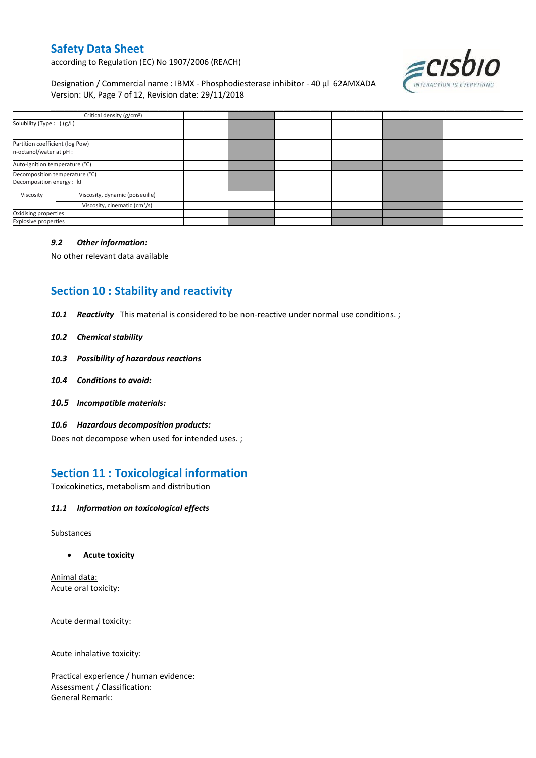according to Regulation (EC) No 1907/2006 (REACH)

Designation / Commercial name : IBMX - Phosphodiesterase inhibitor - 40 µl 62AMXADA Version: UK, Page 7 of 12, Revision date: 29/11/2018



| Critical density (g/cm <sup>3</sup> )                       |                                           |  |  |  |
|-------------------------------------------------------------|-------------------------------------------|--|--|--|
| Solubility (Type: ) (g/L)                                   |                                           |  |  |  |
| Partition coefficient (log Pow)<br>n-octanol/water at pH :  |                                           |  |  |  |
| Auto-ignition temperature (°C)                              |                                           |  |  |  |
| Decomposition temperature (°C)<br>Decomposition energy : kJ |                                           |  |  |  |
| Viscosity                                                   | Viscosity, dynamic (poiseuille)           |  |  |  |
|                                                             | Viscosity, cinematic (cm <sup>3</sup> /s) |  |  |  |
| Oxidising properties                                        |                                           |  |  |  |
| Explosive properties                                        |                                           |  |  |  |

### *9.2 Other information:*

No other relevant data available

# **Section 10 : Stability and reactivity**

*10.1 Reactivity* This material is considered to be non-reactive under normal use conditions. ;

#### *10.2 Chemical stability*

- *10.3 Possibility of hazardous reactions*
- *10.4 Conditions to avoid:*
- *10.5 Incompatible materials:*
- *10.6 Hazardous decomposition products:*

Does not decompose when used for intended uses. ;

## **Section 11 : Toxicological information**

Toxicokinetics, metabolism and distribution

### *11.1 Information on toxicological effects*

#### **Substances**

**Acute toxicity**

Animal data: Acute oral toxicity:

Acute dermal toxicity:

Acute inhalative toxicity:

Practical experience / human evidence: Assessment / Classification: General Remark: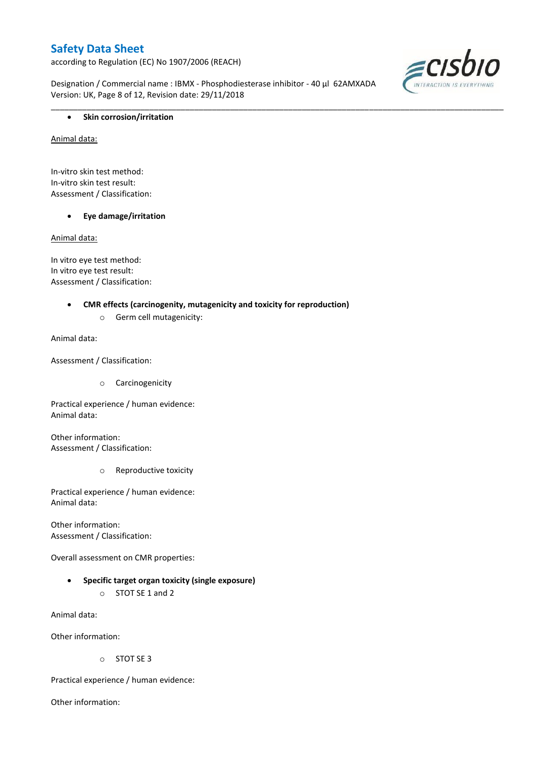according to Regulation (EC) No 1907/2006 (REACH)

Designation / Commercial name : IBMX - Phosphodiesterase inhibitor - 40 µl 62AMXADA Version: UK, Page 8 of 12, Revision date: 29/11/2018

\_\_\_\_\_\_\_\_\_\_\_\_\_\_\_\_\_\_\_\_\_\_\_\_\_\_\_\_\_\_\_\_\_\_\_\_\_\_\_\_\_\_\_\_\_\_\_\_\_\_\_\_\_\_\_\_\_\_\_\_\_\_\_\_\_\_\_\_\_\_\_\_\_\_\_\_\_\_\_\_\_\_\_\_\_\_\_\_\_\_\_\_\_\_\_\_\_\_\_\_\_



### **•** Skin corrosion/irritation

Animal data:

In-vitro skin test method: In-vitro skin test result: Assessment / Classification:

#### **Eye damage/irritation**

Animal data:

In vitro eye test method: In vitro eye test result: Assessment / Classification:

#### **CMR effects (carcinogenity, mutagenicity and toxicity for reproduction)**

o Germ cell mutagenicity:

Animal data:

Assessment / Classification:

o Carcinogenicity

Practical experience / human evidence: Animal data:

Other information: Assessment / Classification:

o Reproductive toxicity

Practical experience / human evidence: Animal data:

Other information: Assessment / Classification:

Overall assessment on CMR properties:

- **Specific target organ toxicity (single exposure)**
	- o STOT SE 1 and 2

Animal data:

Other information:

o STOT SE 3

Practical experience / human evidence:

Other information: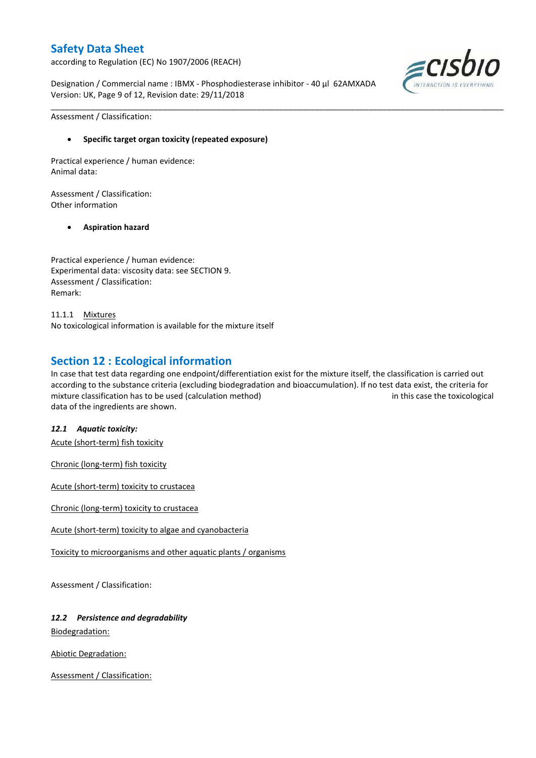according to Regulation (EC) No 1907/2006 (REACH)

Designation / Commercial name : IBMX - Phosphodiesterase inhibitor - 40 µl 62AMXADA Version: UK, Page 9 of 12, Revision date: 29/11/2018



Assessment / Classification:

### **Specific target organ toxicity (repeated exposure)**

Practical experience / human evidence: Animal data:

Assessment / Classification: Other information

#### **Aspiration hazard**

Practical experience / human evidence: Experimental data: viscosity data: see SECTION 9. Assessment / Classification: Remark:

11.1.1 Mixtures No toxicological information is available for the mixture itself

## **Section 12 : Ecological information**

In case that test data regarding one endpoint/differentiation exist for the mixture itself, the classification is carried out according to the substance criteria (excluding biodegradation and bioaccumulation). If no test data exist, the criteria for mixture classification has to be used (calculation method) in this case the toxicological data of the ingredients are shown.

\_\_\_\_\_\_\_\_\_\_\_\_\_\_\_\_\_\_\_\_\_\_\_\_\_\_\_\_\_\_\_\_\_\_\_\_\_\_\_\_\_\_\_\_\_\_\_\_\_\_\_\_\_\_\_\_\_\_\_\_\_\_\_\_\_\_\_\_\_\_\_\_\_\_\_\_\_\_\_\_\_\_\_\_\_\_\_\_\_\_\_\_\_\_\_\_\_\_\_\_\_

#### *12.1 Aquatic toxicity:*

Acute (short-term) fish toxicity

Chronic (long-term) fish toxicity

Acute (short-term) toxicity to crustacea

Chronic (long-term) toxicity to crustacea

Acute (short-term) toxicity to algae and cyanobacteria

Toxicity to microorganisms and other aquatic plants / organisms

Assessment / Classification:

## *12.2 Persistence and degradability*

Biodegradation:

Abiotic Degradation:

Assessment / Classification: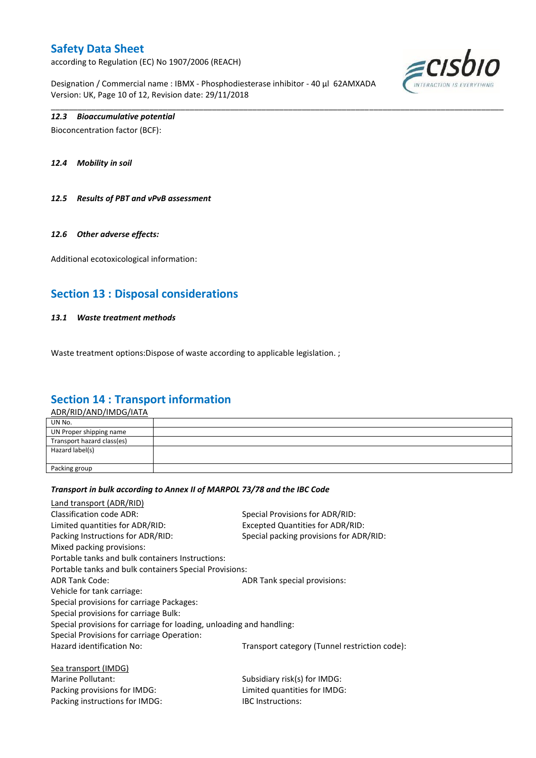according to Regulation (EC) No 1907/2006 (REACH)

Designation / Commercial name : IBMX - Phosphodiesterase inhibitor - 40 µl 62AMXADA Version: UK, Page 10 of 12, Revision date: 29/11/2018

\_\_\_\_\_\_\_\_\_\_\_\_\_\_\_\_\_\_\_\_\_\_\_\_\_\_\_\_\_\_\_\_\_\_\_\_\_\_\_\_\_\_\_\_\_\_\_\_\_\_\_\_\_\_\_\_\_\_\_\_\_\_\_\_\_\_\_\_\_\_\_\_\_\_\_\_\_\_\_\_\_\_\_\_\_\_\_\_\_\_\_\_\_\_\_\_\_\_\_\_\_



### *12.3 Bioaccumulative potential*

Bioconcentration factor (BCF):

*12.4 Mobility in soil*

*12.5 Results of PBT and vPvB assessment*

#### *12.6 Other adverse effects:*

Additional ecotoxicological information:

## **Section 13 : Disposal considerations**

#### *13.1 Waste treatment methods*

Waste treatment options: Dispose of waste according to applicable legislation. ;

## **Section 14 : Transport information**

ADR/RID/AND/IMDG/IATA

| UN No.                     |  |
|----------------------------|--|
| UN Proper shipping name    |  |
| Transport hazard class(es) |  |
| Hazard label(s)            |  |
|                            |  |
| Packing group              |  |

#### *Transport in bulk according to Annex II of MARPOL 73/78 and the IBC Code*

Packing instructions for IMDG: IBC Instructions:

| Land transport (ADR/RID)                                             |                                               |
|----------------------------------------------------------------------|-----------------------------------------------|
| Classification code ADR:                                             | Special Provisions for ADR/RID:               |
| Limited quantities for ADR/RID:                                      | <b>Excepted Quantities for ADR/RID:</b>       |
| Packing Instructions for ADR/RID:                                    | Special packing provisions for ADR/RID:       |
| Mixed packing provisions:                                            |                                               |
| Portable tanks and bulk containers Instructions:                     |                                               |
| Portable tanks and bulk containers Special Provisions:               |                                               |
| <b>ADR Tank Code:</b>                                                | ADR Tank special provisions:                  |
| Vehicle for tank carriage:                                           |                                               |
| Special provisions for carriage Packages:                            |                                               |
| Special provisions for carriage Bulk:                                |                                               |
| Special provisions for carriage for loading, unloading and handling: |                                               |
| Special Provisions for carriage Operation:                           |                                               |
| Hazard identification No:                                            | Transport category (Tunnel restriction code): |
| Sea transport (IMDG)                                                 |                                               |
| Marine Pollutant:                                                    | Subsidiary risk(s) for IMDG:                  |
| Packing provisions for IMDG:                                         | Limited quantities for IMDG:                  |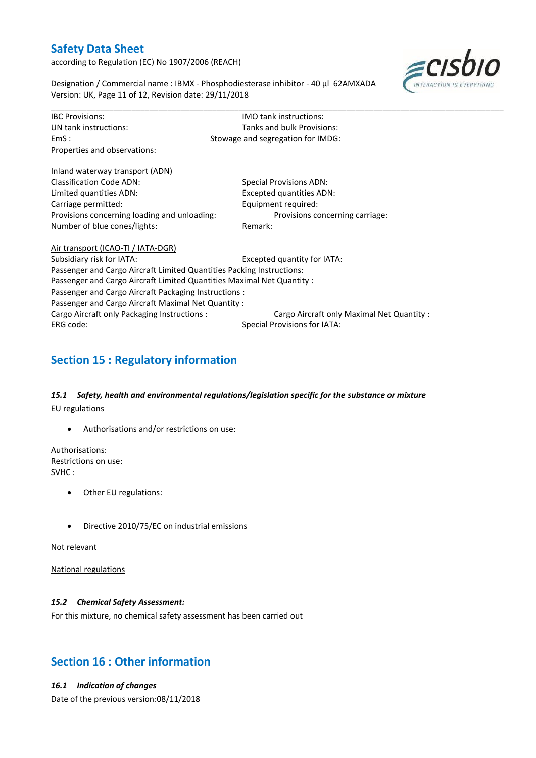according to Regulation (EC) No 1907/2006 (REACH)



Designation / Commercial name : IBMX - Phosphodiesterase inhibitor - 40 µl 62AMXADA Version: UK, Page 11 of 12, Revision date: 29/11/2018

| <b>IBC Provisions:</b>                                                 | <b>IMO</b> tank instructions:              |  |  |  |  |
|------------------------------------------------------------------------|--------------------------------------------|--|--|--|--|
| UN tank instructions:                                                  | Tanks and bulk Provisions:                 |  |  |  |  |
| EmS:                                                                   | Stowage and segregation for IMDG:          |  |  |  |  |
| Properties and observations:                                           |                                            |  |  |  |  |
| Inland waterway transport (ADN)                                        |                                            |  |  |  |  |
| <b>Classification Code ADN:</b>                                        | <b>Special Provisions ADN:</b>             |  |  |  |  |
| Limited quantities ADN:                                                | <b>Excepted quantities ADN:</b>            |  |  |  |  |
| Carriage permitted:                                                    | Equipment required:                        |  |  |  |  |
| Provisions concerning loading and unloading:                           | Provisions concerning carriage:            |  |  |  |  |
| Number of blue cones/lights:                                           | Remark:                                    |  |  |  |  |
| Air transport (ICAO-TI / IATA-DGR)                                     |                                            |  |  |  |  |
| Subsidiary risk for IATA:                                              | Excepted quantity for IATA:                |  |  |  |  |
| Passenger and Cargo Aircraft Limited Quantities Packing Instructions:  |                                            |  |  |  |  |
| Passenger and Cargo Aircraft Limited Quantities Maximal Net Quantity : |                                            |  |  |  |  |
| Passenger and Cargo Aircraft Packaging Instructions:                   |                                            |  |  |  |  |
| Passenger and Cargo Aircraft Maximal Net Quantity :                    |                                            |  |  |  |  |
| Cargo Aircraft only Packaging Instructions :                           | Cargo Aircraft only Maximal Net Quantity : |  |  |  |  |
| ERG code:                                                              | <b>Special Provisions for IATA:</b>        |  |  |  |  |

\_\_\_\_\_\_\_\_\_\_\_\_\_\_\_\_\_\_\_\_\_\_\_\_\_\_\_\_\_\_\_\_\_\_\_\_\_\_\_\_\_\_\_\_\_\_\_\_\_\_\_\_\_\_\_\_\_\_\_\_\_\_\_\_\_\_\_\_\_\_\_\_\_\_\_\_\_\_\_\_\_\_\_\_\_\_\_\_\_\_\_\_\_\_\_\_\_\_\_\_\_

# **Section 15 : Regulatory information**

## *15.1 Safety, health and environmental regulations/legislation specific for the substance or mixture* EU regulations

Authorisations and/or restrictions on use:

Authorisations: Restrictions on use: SVHC :

- Other EU regulations:
- Directive 2010/75/EC on industrial emissions

Not relevant

National regulations

### *15.2 Chemical Safety Assessment:*

For this mixture, no chemical safety assessment has been carried out

## **Section 16 : Other information**

### *16.1 Indication of changes*

Date of the previous version:08/11/2018